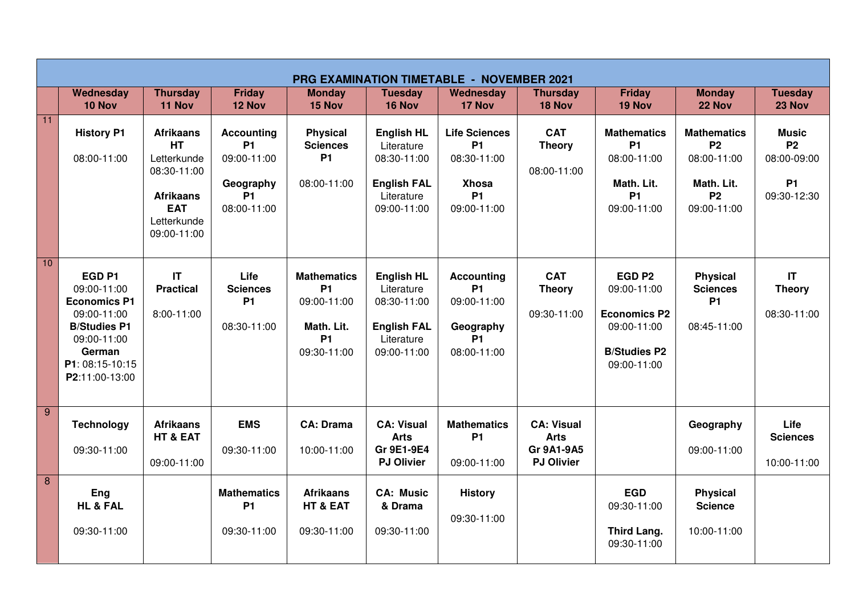|                 | <b>PRG EXAMINATION TIMETABLE - NOVEMBER 2021</b>                                                                                                            |                                                                                                                             |                                                                                             |                                                                                          |                                                                                                   |                                                                                              |                                                                            |                                                                                                              |                                                                                          |                                                                      |
|-----------------|-------------------------------------------------------------------------------------------------------------------------------------------------------------|-----------------------------------------------------------------------------------------------------------------------------|---------------------------------------------------------------------------------------------|------------------------------------------------------------------------------------------|---------------------------------------------------------------------------------------------------|----------------------------------------------------------------------------------------------|----------------------------------------------------------------------------|--------------------------------------------------------------------------------------------------------------|------------------------------------------------------------------------------------------|----------------------------------------------------------------------|
|                 | Wednesday<br>10 Nov                                                                                                                                         | <b>Thursday</b><br>11 Nov                                                                                                   | <b>Friday</b><br>12 Nov                                                                     | <b>Monday</b><br>15 Nov                                                                  | <b>Tuesday</b><br>16 Nov                                                                          | Wednesday<br>17 Nov                                                                          | <b>Thursday</b><br>18 Nov                                                  | <b>Friday</b><br>19 Nov                                                                                      | <b>Monday</b><br>22 Nov                                                                  | <b>Tuesday</b><br>23 Nov                                             |
| 11              | <b>History P1</b><br>08:00-11:00                                                                                                                            | <b>Afrikaans</b><br><b>HT</b><br>Letterkunde<br>08:30-11:00<br><b>Afrikaans</b><br><b>EAT</b><br>Letterkunde<br>09:00-11:00 | <b>Accounting</b><br><b>P1</b><br>09:00-11:00<br>Geography<br>P <sub>1</sub><br>08:00-11:00 | <b>Physical</b><br><b>Sciences</b><br><b>P1</b><br>08:00-11:00                           | <b>English HL</b><br>Literature<br>08:30-11:00<br><b>English FAL</b><br>Literature<br>09:00-11:00 | <b>Life Sciences</b><br><b>P1</b><br>08:30-11:00<br><b>Xhosa</b><br><b>P1</b><br>09:00-11:00 | <b>CAT</b><br><b>Theory</b><br>08:00-11:00                                 | <b>Mathematics</b><br><b>P1</b><br>08:00-11:00<br>Math. Lit.<br><b>P1</b><br>09:00-11:00                     | <b>Mathematics</b><br><b>P2</b><br>08:00-11:00<br>Math. Lit.<br><b>P2</b><br>09:00-11:00 | <b>Music</b><br><b>P2</b><br>08:00-09:00<br><b>P1</b><br>09:30-12:30 |
| 10 <sup>1</sup> | EGD <sub>P1</sub><br>09:00-11:00<br><b>Economics P1</b><br>09:00-11:00<br><b>B/Studies P1</b><br>09:00-11:00<br>German<br>P1: 08:15-10:15<br>P2:11:00-13:00 | $\mathsf{I}\mathsf{T}$<br><b>Practical</b><br>8:00-11:00                                                                    | Life<br><b>Sciences</b><br><b>P1</b><br>08:30-11:00                                         | <b>Mathematics</b><br><b>P1</b><br>09:00-11:00<br>Math. Lit.<br><b>P1</b><br>09:30-11:00 | <b>English HL</b><br>Literature<br>08:30-11:00<br><b>English FAL</b><br>Literature<br>09:00-11:00 | <b>Accounting</b><br><b>P1</b><br>09:00-11:00<br>Geography<br><b>P1</b><br>08:00-11:00       | <b>CAT</b><br><b>Theory</b><br>09:30-11:00                                 | EGD <sub>P2</sub><br>09:00-11:00<br><b>Economics P2</b><br>09:00-11:00<br><b>B/Studies P2</b><br>09:00-11:00 | <b>Physical</b><br><b>Sciences</b><br><b>P1</b><br>08:45-11:00                           | $\mathsf{I}\mathsf{T}$<br><b>Theory</b><br>08:30-11:00               |
| 9               | <b>Technology</b><br>09:30-11:00                                                                                                                            | <b>Afrikaans</b><br>HT & EAT<br>09:00-11:00                                                                                 | <b>EMS</b><br>09:30-11:00                                                                   | <b>CA: Drama</b><br>10:00-11:00                                                          | <b>CA: Visual</b><br><b>Arts</b><br>Gr 9E1-9E4<br><b>PJ Olivier</b>                               | <b>Mathematics</b><br><b>P1</b><br>09:00-11:00                                               | <b>CA: Visual</b><br><b>Arts</b><br><b>Gr 9A1-9A5</b><br><b>PJ Olivier</b> |                                                                                                              | Geography<br>09:00-11:00                                                                 | Life<br><b>Sciences</b><br>10:00-11:00                               |
| 8               | Eng<br><b>HL &amp; FAL</b><br>09:30-11:00                                                                                                                   |                                                                                                                             | <b>Mathematics</b><br>P <sub>1</sub><br>09:30-11:00                                         | <b>Afrikaans</b><br>HT & EAT<br>09:30-11:00                                              | <b>CA: Music</b><br>& Drama<br>09:30-11:00                                                        | <b>History</b><br>09:30-11:00                                                                |                                                                            | <b>EGD</b><br>09:30-11:00<br><b>Third Lang.</b><br>09:30-11:00                                               | <b>Physical</b><br><b>Science</b><br>10:00-11:00                                         |                                                                      |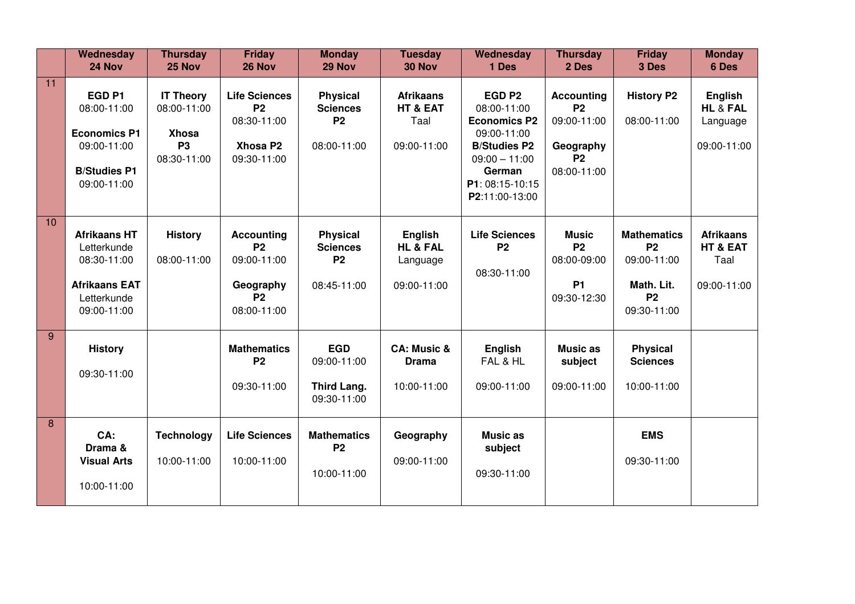|    | Wednesday<br>24 Nov                                                                                          | <b>Thursday</b><br>25 Nov                                                   | <b>Friday</b><br><b>26 Nov</b>                                                         | <b>Monday</b><br>29 Nov                                             | <b>Tuesday</b><br>30 Nov                                  | Wednesday<br>1 Des                                                                                                                                              | <b>Thursday</b><br>2 Des                                                               | <b>Friday</b><br>3 Des                                                                   | <b>Monday</b><br>6 Des                              |
|----|--------------------------------------------------------------------------------------------------------------|-----------------------------------------------------------------------------|----------------------------------------------------------------------------------------|---------------------------------------------------------------------|-----------------------------------------------------------|-----------------------------------------------------------------------------------------------------------------------------------------------------------------|----------------------------------------------------------------------------------------|------------------------------------------------------------------------------------------|-----------------------------------------------------|
| 11 | EGD <sub>P1</sub><br>08:00-11:00<br><b>Economics P1</b><br>09:00-11:00<br><b>B/Studies P1</b><br>09:00-11:00 | <b>IT Theory</b><br>08:00-11:00<br><b>Xhosa</b><br><b>P3</b><br>08:30-11:00 | <b>Life Sciences</b><br>P <sub>2</sub><br>08:30-11:00<br>Xhosa P2<br>09:30-11:00       | <b>Physical</b><br><b>Sciences</b><br>P <sub>2</sub><br>08:00-11:00 | <b>Afrikaans</b><br>HT & EAT<br>Taal<br>09:00-11:00       | EGD <sub>P2</sub><br>08:00-11:00<br><b>Economics P2</b><br>09:00-11:00<br><b>B/Studies P2</b><br>$09:00 - 11:00$<br>German<br>P1: 08:15-10:15<br>P2:11:00-13:00 | <b>Accounting</b><br><b>P2</b><br>09:00-11:00<br>Geography<br><b>P2</b><br>08:00-11:00 | <b>History P2</b><br>08:00-11:00                                                         | English<br>HL & FAL<br>Language<br>09:00-11:00      |
| 10 | <b>Afrikaans HT</b><br>Letterkunde<br>08:30-11:00<br><b>Afrikaans EAT</b><br>Letterkunde<br>09:00-11:00      | <b>History</b><br>08:00-11:00                                               | <b>Accounting</b><br><b>P2</b><br>09:00-11:00<br>Geography<br><b>P2</b><br>08:00-11:00 | <b>Physical</b><br><b>Sciences</b><br><b>P2</b><br>08:45-11:00      | English<br><b>HL &amp; FAL</b><br>Language<br>09:00-11:00 | <b>Life Sciences</b><br><b>P2</b><br>08:30-11:00                                                                                                                | <b>Music</b><br><b>P2</b><br>08:00-09:00<br><b>P1</b><br>09:30-12:30                   | <b>Mathematics</b><br><b>P2</b><br>09:00-11:00<br>Math. Lit.<br><b>P2</b><br>09:30-11:00 | <b>Afrikaans</b><br>HT & EAT<br>Taal<br>09:00-11:00 |
| 9  | <b>History</b><br>09:30-11:00                                                                                |                                                                             | <b>Mathematics</b><br><b>P2</b><br>09:30-11:00                                         | <b>EGD</b><br>09:00-11:00<br>Third Lang.<br>09:30-11:00             | <b>CA: Music &amp;</b><br><b>Drama</b><br>10:00-11:00     | English<br>FAL & HL<br>09:00-11:00                                                                                                                              | <b>Music as</b><br>subject<br>09:00-11:00                                              | <b>Physical</b><br><b>Sciences</b><br>10:00-11:00                                        |                                                     |
| 8  | CA:<br>Drama &<br><b>Visual Arts</b><br>10:00-11:00                                                          | <b>Technology</b><br>10:00-11:00                                            | <b>Life Sciences</b><br>10:00-11:00                                                    | <b>Mathematics</b><br>P <sub>2</sub><br>10:00-11:00                 | Geography<br>09:00-11:00                                  | <b>Music as</b><br>subject<br>09:30-11:00                                                                                                                       |                                                                                        | <b>EMS</b><br>09:30-11:00                                                                |                                                     |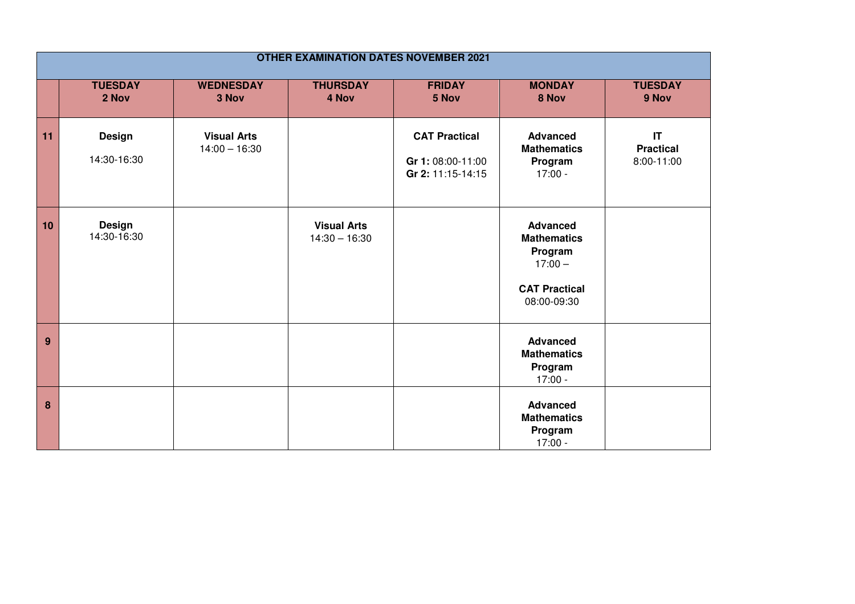| <b>OTHER EXAMINATION DATES NOVEMBER 2021</b> |                              |                                       |                                       |                                                                |                                                                                                      |                                                          |  |  |
|----------------------------------------------|------------------------------|---------------------------------------|---------------------------------------|----------------------------------------------------------------|------------------------------------------------------------------------------------------------------|----------------------------------------------------------|--|--|
|                                              | <b>TUESDAY</b><br>2 Nov      | <b>WEDNESDAY</b><br>3 Nov             | <b>THURSDAY</b><br>4 Nov              | <b>FRIDAY</b><br>5 Nov                                         | <b>MONDAY</b><br>8 Nov                                                                               | <b>TUESDAY</b><br>9 Nov                                  |  |  |
| 11                                           | <b>Design</b><br>14:30-16:30 | <b>Visual Arts</b><br>$14:00 - 16:30$ |                                       | <b>CAT Practical</b><br>Gr 1: 08:00-11:00<br>Gr 2: 11:15-14:15 | <b>Advanced</b><br><b>Mathematics</b><br>Program<br>$17:00 -$                                        | $\mathsf{I}\mathsf{T}$<br><b>Practical</b><br>8:00-11:00 |  |  |
| 10                                           | <b>Design</b><br>14:30-16:30 |                                       | <b>Visual Arts</b><br>$14:30 - 16:30$ |                                                                | <b>Advanced</b><br><b>Mathematics</b><br>Program<br>$17:00 -$<br><b>CAT Practical</b><br>08:00-09:30 |                                                          |  |  |
| 9                                            |                              |                                       |                                       |                                                                | <b>Advanced</b><br><b>Mathematics</b><br>Program<br>$17:00 -$                                        |                                                          |  |  |
| 8                                            |                              |                                       |                                       |                                                                | <b>Advanced</b><br><b>Mathematics</b><br>Program<br>$17:00 -$                                        |                                                          |  |  |